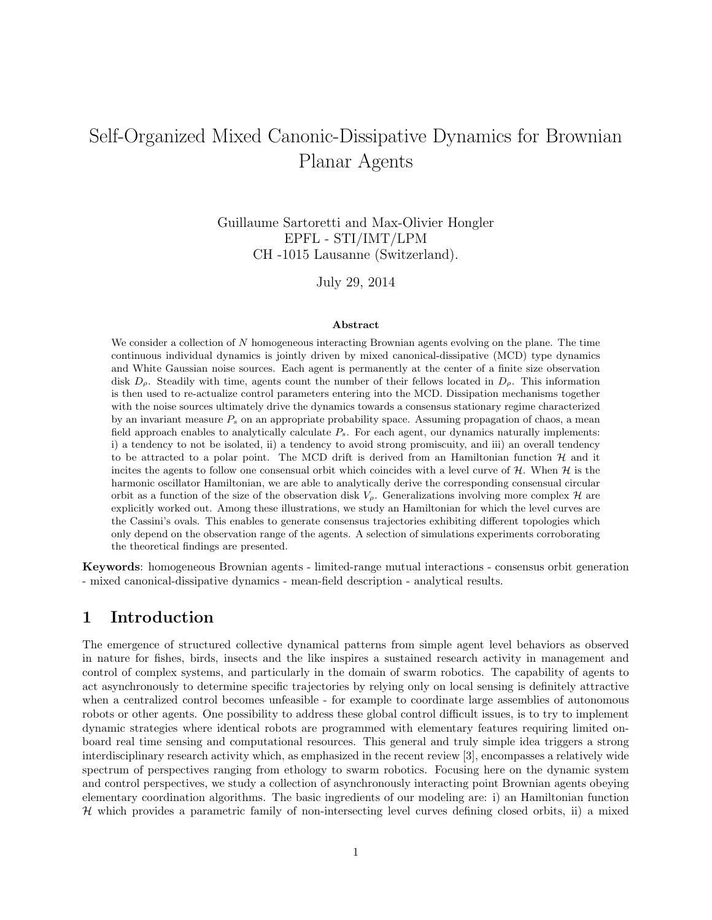# Self-Organized Mixed Canonic-Dissipative Dynamics for Brownian Planar Agents

Guillaume Sartoretti and Max-Olivier Hongler EPFL - STI/IMT/LPM CH -1015 Lausanne (Switzerland).

July 29, 2014

#### Abstract

We consider a collection of  $N$  homogeneous interacting Brownian agents evolving on the plane. The time continuous individual dynamics is jointly driven by mixed canonical-dissipative (MCD) type dynamics and White Gaussian noise sources. Each agent is permanently at the center of a finite size observation disk  $D_{\rho}$ . Steadily with time, agents count the number of their fellows located in  $D_{\rho}$ . This information is then used to re-actualize control parameters entering into the MCD. Dissipation mechanisms together with the noise sources ultimately drive the dynamics towards a consensus stationary regime characterized by an invariant measure  $P<sub>s</sub>$  on an appropriate probability space. Assuming propagation of chaos, a mean field approach enables to analytically calculate  $P_s$ . For each agent, our dynamics naturally implements: i) a tendency to not be isolated, ii) a tendency to avoid strong promiscuity, and iii) an overall tendency to be attracted to a polar point. The MCD drift is derived from an Hamiltonian function  $H$  and it incites the agents to follow one consensual orbit which coincides with a level curve of  $H$ . When  $H$  is the harmonic oscillator Hamiltonian, we are able to analytically derive the corresponding consensual circular orbit as a function of the size of the observation disk  $V_{\rho}$ . Generalizations involving more complex H are explicitly worked out. Among these illustrations, we study an Hamiltonian for which the level curves are the Cassini's ovals. This enables to generate consensus trajectories exhibiting different topologies which only depend on the observation range of the agents. A selection of simulations experiments corroborating the theoretical findings are presented.

Keywords: homogeneous Brownian agents - limited-range mutual interactions - consensus orbit generation - mixed canonical-dissipative dynamics - mean-field description - analytical results.

### 1 Introduction

The emergence of structured collective dynamical patterns from simple agent level behaviors as observed in nature for fishes, birds, insects and the like inspires a sustained research activity in management and control of complex systems, and particularly in the domain of swarm robotics. The capability of agents to act asynchronously to determine specific trajectories by relying only on local sensing is definitely attractive when a centralized control becomes unfeasible - for example to coordinate large assemblies of autonomous robots or other agents. One possibility to address these global control difficult issues, is to try to implement dynamic strategies where identical robots are programmed with elementary features requiring limited onboard real time sensing and computational resources. This general and truly simple idea triggers a strong interdisciplinary research activity which, as emphasized in the recent review [3], encompasses a relatively wide spectrum of perspectives ranging from ethology to swarm robotics. Focusing here on the dynamic system and control perspectives, we study a collection of asynchronously interacting point Brownian agents obeying elementary coordination algorithms. The basic ingredients of our modeling are: i) an Hamiltonian function H which provides a parametric family of non-intersecting level curves defining closed orbits, ii) a mixed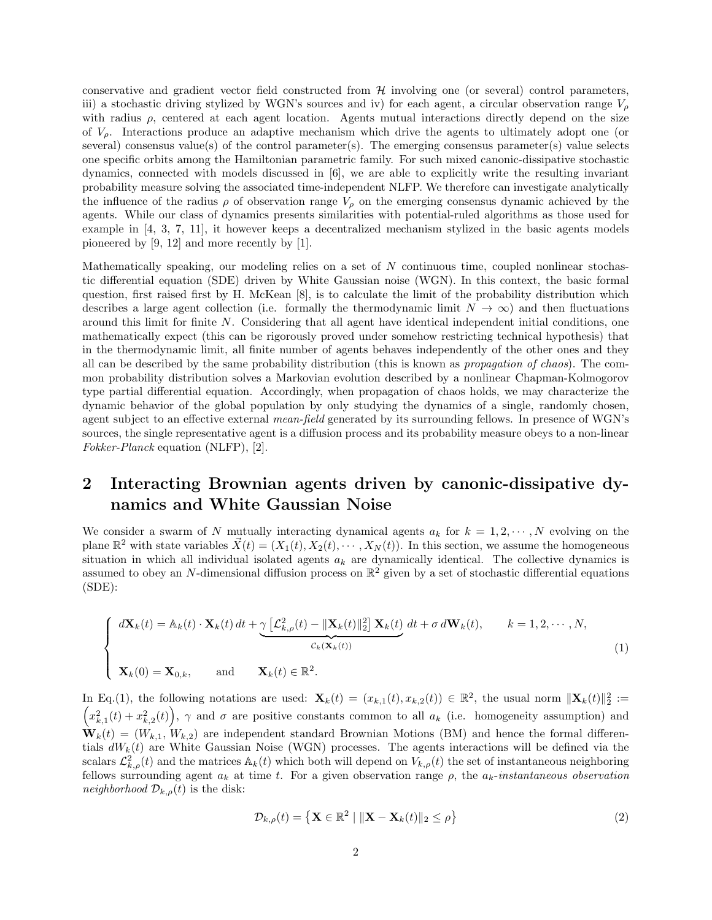conservative and gradient vector field constructed from  $H$  involving one (or several) control parameters, iii) a stochastic driving stylized by WGN's sources and iv) for each agent, a circular observation range  $V_{\rho}$ with radius  $\rho$ , centered at each agent location. Agents mutual interactions directly depend on the size of  $V_{\rho}$ . Interactions produce an adaptive mechanism which drive the agents to ultimately adopt one (or several) consensus value(s) of the control parameter(s). The emerging consensus parameter(s) value selects one specific orbits among the Hamiltonian parametric family. For such mixed canonic-dissipative stochastic dynamics, connected with models discussed in [6], we are able to explicitly write the resulting invariant probability measure solving the associated time-independent NLFP. We therefore can investigate analytically the influence of the radius  $\rho$  of observation range  $V_\rho$  on the emerging consensus dynamic achieved by the agents. While our class of dynamics presents similarities with potential-ruled algorithms as those used for example in [4, 3, 7, 11], it however keeps a decentralized mechanism stylized in the basic agents models pioneered by [9, 12] and more recently by [1].

Mathematically speaking, our modeling relies on a set of  $N$  continuous time, coupled nonlinear stochastic differential equation (SDE) driven by White Gaussian noise (WGN). In this context, the basic formal question, first raised first by H. McKean [8], is to calculate the limit of the probability distribution which describes a large agent collection (i.e. formally the thermodynamic limit  $N \to \infty$ ) and then fluctuations around this limit for finite N. Considering that all agent have identical independent initial conditions, one mathematically expect (this can be rigorously proved under somehow restricting technical hypothesis) that in the thermodynamic limit, all finite number of agents behaves independently of the other ones and they all can be described by the same probability distribution (this is known as propagation of chaos). The common probability distribution solves a Markovian evolution described by a nonlinear Chapman-Kolmogorov type partial differential equation. Accordingly, when propagation of chaos holds, we may characterize the dynamic behavior of the global population by only studying the dynamics of a single, randomly chosen, agent subject to an effective external *mean-field* generated by its surrounding fellows. In presence of WGN's sources, the single representative agent is a diffusion process and its probability measure obeys to a non-linear Fokker-Planck equation (NLFP), [2].

## 2 Interacting Brownian agents driven by canonic-dissipative dynamics and White Gaussian Noise

We consider a swarm of N mutually interacting dynamical agents  $a_k$  for  $k = 1, 2, \dots, N$  evolving on the plane  $\mathbb{R}^2$  with state variables  $\vec{X}(t) = (X_1(t), X_2(t), \cdots, X_N(t))$ . In this section, we assume the homogeneous situation in which all individual isolated agents  $a_k$  are dynamically identical. The collective dynamics is assumed to obey an N-dimensional diffusion process on  $\mathbb{R}^2$  given by a set of stochastic differential equations (SDE):

$$
\begin{cases}\n d\mathbf{X}_k(t) = \mathbb{A}_k(t) \cdot \mathbf{X}_k(t) dt + \underbrace{\gamma \left[ \mathcal{L}_{k,\rho}^2(t) - \|\mathbf{X}_k(t)\|_2^2 \right] \mathbf{X}_k(t)}_{\mathcal{C}_k(\mathbf{X}_k(t))} dt + \sigma d\mathbf{W}_k(t), \qquad k = 1, 2, \cdots, N, \\
 \mathbf{X}_k(0) = \mathbf{X}_{0,k}, \qquad \text{and} \qquad \mathbf{X}_k(t) \in \mathbb{R}^2.\n\end{cases}
$$
\n(1)

In Eq.(1), the following notations are used:  $\mathbf{X}_k(t) = (x_{k,1}(t), x_{k,2}(t)) \in \mathbb{R}^2$ , the usual norm  $\|\mathbf{X}_k(t)\|_2^2 :=$  $(x_{k,1}^2(t) + x_{k,2}^2(t)), \gamma$  and  $\sigma$  are positive constants common to all  $a_k$  (i.e. homogeneity assumption) and  $\mathbf{W}_k(t) = (W_{k,1}, W_{k,2})$  are independent standard Brownian Motions (BM) and hence the formal differentials  $dW_k(t)$  are White Gaussian Noise (WGN) processes. The agents interactions will be defined via the scalars  $\mathcal{L}_{k,\rho}^{2}(t)$  and the matrices  $\mathbb{A}_k(t)$  which both will depend on  $V_{k,\rho}(t)$  the set of instantaneous neighboring fellows surrounding agent  $a_k$  at time t. For a given observation range  $\rho$ , the  $a_k$ -instantaneous observation *neighborhood*  $\mathcal{D}_{k,\rho}(t)$  is the disk:

$$
\mathcal{D}_{k,\rho}(t) = \left\{ \mathbf{X} \in \mathbb{R}^2 \mid \|\mathbf{X} - \mathbf{X}_k(t)\|_2 \le \rho \right\} \tag{2}
$$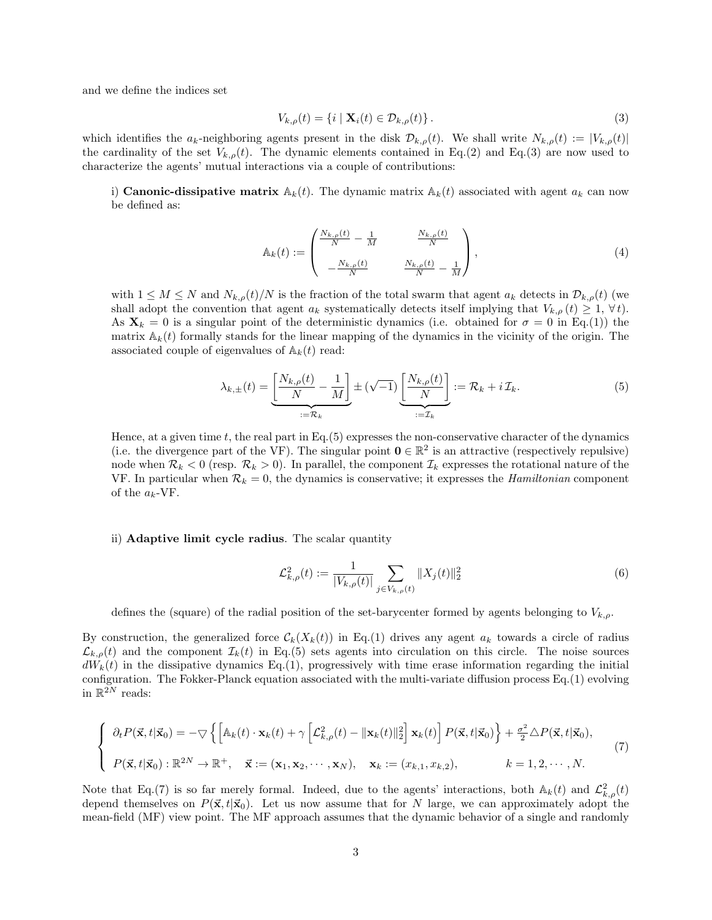and we define the indices set

$$
V_{k,\rho}(t) = \{i \mid \mathbf{X}_i(t) \in \mathcal{D}_{k,\rho}(t)\}.
$$
\n
$$
(3)
$$

which identifies the  $a_k$ -neighboring agents present in the disk  $\mathcal{D}_{k,\rho}(t)$ . We shall write  $N_{k,\rho}(t) := |V_{k,\rho}(t)|$ the cardinality of the set  $V_{k,\rho}(t)$ . The dynamic elements contained in Eq.(2) and Eq.(3) are now used to characterize the agents' mutual interactions via a couple of contributions:

i) **Canonic-dissipative matrix**  $\mathbb{A}_k(t)$ . The dynamic matrix  $\mathbb{A}_k(t)$  associated with agent  $a_k$  can now be defined as:

$$
\mathbb{A}_{k}(t) := \begin{pmatrix} \frac{N_{k,\rho}(t)}{N} - \frac{1}{M} & \frac{N_{k,\rho}(t)}{N} \\ -\frac{N_{k,\rho}(t)}{N} & \frac{N_{k,\rho}(t)}{N} - \frac{1}{M} \end{pmatrix},
$$
\n(4)

with  $1 \leq M \leq N$  and  $N_{k,\rho}(t)/N$  is the fraction of the total swarm that agent  $a_k$  detects in  $\mathcal{D}_{k,\rho}(t)$  (we shall adopt the convention that agent  $a_k$  systematically detects itself implying that  $V_{k,\rho}(t) \geq 1, \forall t$ . As  $\mathbf{X}_k = 0$  is a singular point of the deterministic dynamics (i.e. obtained for  $\sigma = 0$  in Eq.(1)) the matrix  $A_k(t)$  formally stands for the linear mapping of the dynamics in the vicinity of the origin. The associated couple of eigenvalues of  $\mathbb{A}_k(t)$  read:

$$
\lambda_{k,\pm}(t) = \underbrace{\left[\frac{N_{k,\rho}(t)}{N} - \frac{1}{M}\right]}_{:=\mathcal{R}_k \pm \mathcal{K}} \pm (\sqrt{-1}) \underbrace{\left[\frac{N_{k,\rho}(t)}{N}\right]}_{:=\mathcal{I}_k} := \mathcal{R}_k + i \mathcal{I}_k. \tag{5}
$$

Hence, at a given time  $t$ , the real part in Eq.(5) expresses the non-conservative character of the dynamics (i.e. the divergence part of the VF). The singular point  $0 \in \mathbb{R}^2$  is an attractive (respectively repulsive) node when  $\mathcal{R}_k < 0$  (resp.  $\mathcal{R}_k > 0$ ). In parallel, the component  $\mathcal{I}_k$  expresses the rotational nature of the VF. In particular when  $\mathcal{R}_k = 0$ , the dynamics is conservative; it expresses the *Hamiltonian* component of the  $a_k$ -VF.

#### ii) Adaptive limit cycle radius. The scalar quantity

$$
\mathcal{L}_{k,\rho}^{2}(t) := \frac{1}{|V_{k,\rho}(t)|} \sum_{j \in V_{k,\rho}(t)} \|X_j(t)\|_2^2
$$
\n(6)

defines the (square) of the radial position of the set-barycenter formed by agents belonging to  $V_{k,\rho}$ .

By construction, the generalized force  $\mathcal{C}_k(X_k(t))$  in Eq.(1) drives any agent  $a_k$  towards a circle of radius  $\mathcal{L}_{k,\rho}(t)$  and the component  $\mathcal{I}_k(t)$  in Eq.(5) sets agents into circulation on this circle. The noise sources  $dW_k(t)$  in the dissipative dynamics Eq.(1), progressively with time erase information regarding the initial configuration. The Fokker-Planck equation associated with the multi-variate diffusion process Eq.(1) evolving in  $\mathbb{R}^{2N}$  reads:

$$
\begin{cases}\n\partial_t P(\vec{\mathbf{x}}, t | \vec{\mathbf{x}}_0) = -\nabla \left\{ \left[ \mathbb{A}_k(t) \cdot \mathbf{x}_k(t) + \gamma \left[ \mathcal{L}_{k,\rho}^2(t) - ||\mathbf{x}_k(t)||_2^2 \right] \mathbf{x}_k(t) \right] P(\vec{\mathbf{x}}, t | \vec{\mathbf{x}}_0) \right\} + \frac{\sigma^2}{2} \Delta P(\vec{\mathbf{x}}, t | \vec{\mathbf{x}}_0), \\
P(\vec{\mathbf{x}}, t | \vec{\mathbf{x}}_0) : \mathbb{R}^{2N} \to \mathbb{R}^+, \quad \vec{\mathbf{x}} := (\mathbf{x}_1, \mathbf{x}_2, \cdots, \mathbf{x}_N), \quad \mathbf{x}_k := (x_{k,1}, x_{k,2}), \qquad k = 1, 2, \cdots, N.\n\end{cases} (7)
$$

Note that Eq.(7) is so far merely formal. Indeed, due to the agents' interactions, both  $\mathbb{A}_k(t)$  and  $\mathcal{L}_{k,\rho}^2(t)$ depend themselves on  $P(\vec{x}, t|\vec{x}_0)$ . Let us now assume that for N large, we can approximately adopt the mean-field (MF) view point. The MF approach assumes that the dynamic behavior of a single and randomly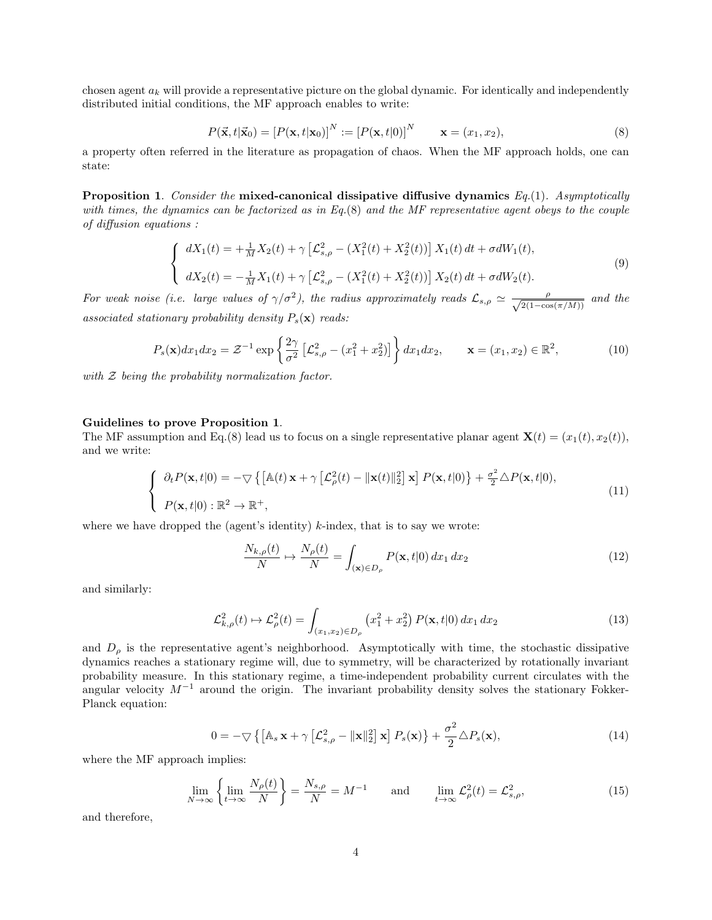chosen agent  $a_k$  will provide a representative picture on the global dynamic. For identically and independently distributed initial conditions, the MF approach enables to write:

$$
P(\vec{\mathbf{x}},t|\vec{\mathbf{x}}_0) = [P(\mathbf{x},t|\mathbf{x}_0)]^N := [P(\mathbf{x},t|0)]^N \qquad \mathbf{x} = (x_1, x_2),
$$
\n(8)

a property often referred in the literature as propagation of chaos. When the MF approach holds, one can state:

**Proposition 1.** Consider the mixed-canonical dissipative diffusive dynamics  $Eq.(1)$ . Asymptotically with times, the dynamics can be factorized as in Eq.(8) and the MF representative agent obeys to the couple of diffusion equations :

$$
\begin{cases}\n dX_1(t) = +\frac{1}{M}X_2(t) + \gamma \left[ \mathcal{L}_{s,\rho}^2 - (X_1^2(t) + X_2^2(t)) \right] X_1(t) dt + \sigma dW_1(t), \\
 dX_2(t) = -\frac{1}{M}X_1(t) + \gamma \left[ \mathcal{L}_{s,\rho}^2 - (X_1^2(t) + X_2^2(t)) \right] X_2(t) dt + \sigma dW_2(t).\n\end{cases}
$$
\n(9)

For weak noise (i.e. large values of  $\gamma/\sigma^2$ ), the radius approximately reads  $\mathcal{L}_{s,\rho} \simeq \frac{\rho}{\sqrt{2(1-\rho s)}}$  $\frac{\rho}{2(1-\cos(\pi/M))}$  and the associated stationary probability density  $P_s(\mathbf{x})$  reads:

$$
P_s(\mathbf{x})dx_1dx_2 = \mathcal{Z}^{-1}\exp\left\{\frac{2\gamma}{\sigma^2}\left[\mathcal{L}_{s,\rho}^2 - (x_1^2 + x_2^2)\right]\right\}dx_1dx_2, \qquad \mathbf{x} = (x_1, x_2) \in \mathbb{R}^2,
$$
 (10)

with  $Z$  being the probability normalization factor.

#### Guidelines to prove Proposition 1.

The MF assumption and Eq.(8) lead us to focus on a single representative planar agent  $\mathbf{X}(t) = (x_1(t), x_2(t))$ , and we write:

$$
\begin{cases}\n\partial_t P(\mathbf{x}, t|0) = -\nabla \left\{ \left[ \mathbb{A}(t) \mathbf{x} + \gamma \left[ \mathcal{L}_\rho^2(t) - ||\mathbf{x}(t)||_2^2 \right] \mathbf{x} \right] P(\mathbf{x}, t|0) \right\} + \frac{\sigma^2}{2} \Delta P(\mathbf{x}, t|0), \\
P(\mathbf{x}, t|0) : \mathbb{R}^2 \to \mathbb{R}^+, \n\end{cases} \n\tag{11}
$$

where we have dropped the (agent's identity)  $k$ -index, that is to say we wrote:

$$
\frac{N_{k,\rho}(t)}{N} \mapsto \frac{N_{\rho}(t)}{N} = \int_{(\mathbf{x}) \in D_{\rho}} P(\mathbf{x}, t | 0) dx_1 dx_2 \tag{12}
$$

and similarly:

$$
\mathcal{L}_{k,\rho}^{2}(t) \mapsto \mathcal{L}_{\rho}^{2}(t) = \int_{(x_{1},x_{2}) \in D_{\rho}} \left( x_{1}^{2} + x_{2}^{2} \right) P(\mathbf{x},t|0) dx_{1} dx_{2}
$$
\n(13)

and  $D_{\rho}$  is the representative agent's neighborhood. Asymptotically with time, the stochastic dissipative dynamics reaches a stationary regime will, due to symmetry, will be characterized by rotationally invariant probability measure. In this stationary regime, a time-independent probability current circulates with the angular velocity  $M^{-1}$  around the origin. The invariant probability density solves the stationary Fokker-Planck equation:

$$
0 = -\nabla \left\{ \left[ \mathbb{A}_s \mathbf{x} + \gamma \left[ \mathcal{L}_{s,\rho}^2 - ||\mathbf{x}||_2^2 \right] \mathbf{x} \right] P_s(\mathbf{x}) \right\} + \frac{\sigma^2}{2} \Delta P_s(\mathbf{x}), \tag{14}
$$

where the MF approach implies:

$$
\lim_{N \to \infty} \left\{ \lim_{t \to \infty} \frac{N_{\rho}(t)}{N} \right\} = \frac{N_{s,\rho}}{N} = M^{-1} \quad \text{and} \quad \lim_{t \to \infty} \mathcal{L}_{\rho}^{2}(t) = \mathcal{L}_{s,\rho}^{2}, \tag{15}
$$

and therefore,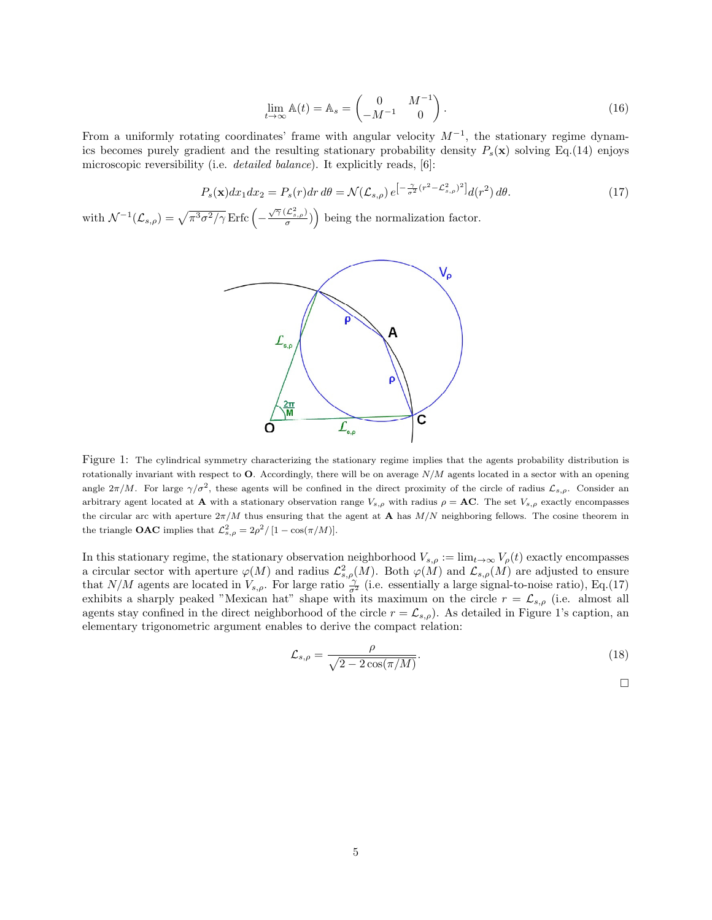$$
\lim_{t \to \infty} \mathbb{A}(t) = \mathbb{A}_s = \begin{pmatrix} 0 & M^{-1} \\ -M^{-1} & 0 \end{pmatrix} . \tag{16}
$$

From a uniformly rotating coordinates' frame with angular velocity  $M^{-1}$ , the stationary regime dynamics becomes purely gradient and the resulting stationary probability density  $P_s(\mathbf{x})$  solving Eq.(14) enjoys microscopic reversibility (i.e. *detailed balance*). It explicitly reads, [6]:

$$
P_s(\mathbf{x})dx_1dx_2 = P_s(r)dr d\theta = \mathcal{N}(\mathcal{L}_{s,\rho})e^{-\frac{\gamma}{\sigma^2}(r^2 - \mathcal{L}_{s,\rho}^2)^2}d(r^2) d\theta.
$$
 (17)

with  $\mathcal{N}^{-1}(\mathcal{L}_{s,\rho}) = \sqrt{\pi^3 \sigma^2/\gamma} \operatorname{Erfc}\left(-\frac{\sqrt{\gamma} (\mathcal{L}_{s,\rho}^2)}{\sigma}\right)$  being the normalization factor.



Figure 1: The cylindrical symmetry characterizing the stationary regime implies that the agents probability distribution is rotationally invariant with respect to  $O$ . Accordingly, there will be on average  $N/M$  agents located in a sector with an opening angle  $2\pi/M$ . For large  $\gamma/\sigma^2$ , these agents will be confined in the direct proximity of the circle of radius  $\mathcal{L}_{s,\rho}$ . Consider an arbitrary agent located at **A** with a stationary observation range  $V_{s,\rho}$  with radius  $\rho = AC$ . The set  $V_{s,\rho}$  exactly encompasses the circular arc with aperture  $2\pi/M$  thus ensuring that the agent at **A** has  $M/N$  neighboring fellows. The cosine theorem in the triangle **OAC** implies that  $\mathcal{L}_{s,\rho}^2 = 2\rho^2/[1 - \cos(\pi/M)].$ 

In this stationary regime, the stationary observation neighborhood  $V_{s,\rho} := \lim_{t\to\infty} V_{\rho}(t)$  exactly encompasses a circular sector with aperture  $\varphi(M)$  and radius  $\mathcal{L}_{s,\rho}(M)$ . Both  $\varphi(M)$  and  $\mathcal{L}_{s,\rho}(M)$  are adjusted to ensure that  $N/M$  agents are located in  $V_{s,\rho}$ . For large ratio  $\frac{\gamma}{\sigma^2}$  (i.e. essentially a large signal-to-noise ratio), Eq.(17) exhibits a sharply peaked "Mexican hat" shape with its maximum on the circle  $r = \mathcal{L}_{s,\rho}$  (i.e. almost all agents stay confined in the direct neighborhood of the circle  $r = \mathcal{L}_{s,\rho}$ ). As detailed in Figure 1's caption, an elementary trigonometric argument enables to derive the compact relation:

$$
\mathcal{L}_{s,\rho} = \frac{\rho}{\sqrt{2 - 2\cos(\pi/M)}}.\tag{18}
$$

 $\Box$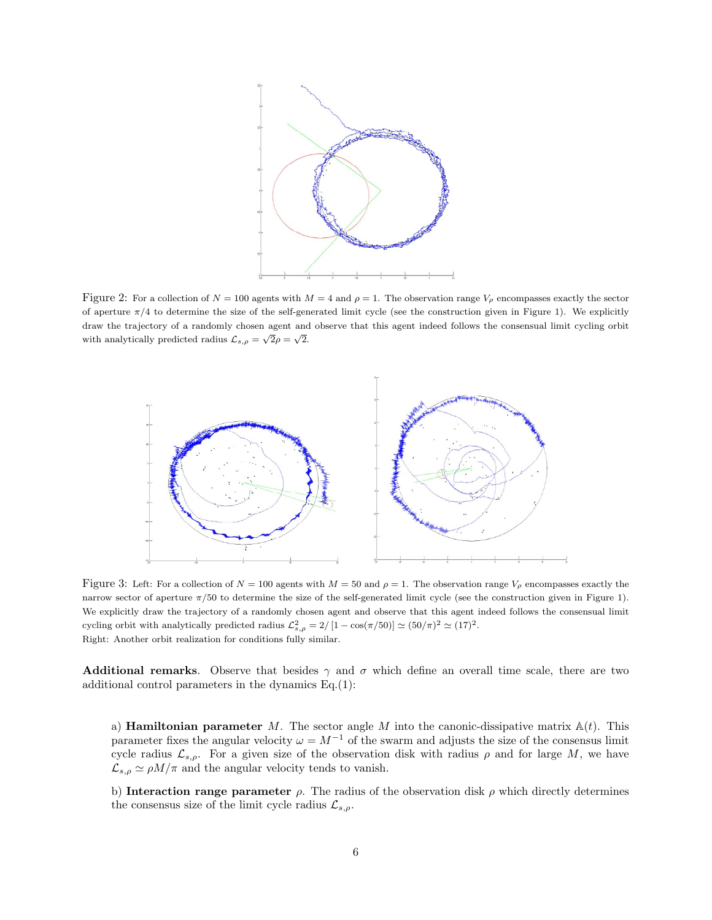

Figure 2: For a collection of  $N = 100$  agents with  $M = 4$  and  $\rho = 1$ . The observation range  $V_\rho$  encompasses exactly the sector of aperture  $\pi/4$  to determine the size of the self-generated limit cycle (see the construction given in Figure 1). We explicitly draw the trajectory of a randomly chosen agent and observe that this agent indeed follows the consensual limit cycling orbit with analytically predicted radius  $\mathcal{L}_{s,\rho} = \sqrt{2\rho} = \sqrt{2}$ .



Figure 3: Left: For a collection of  $N = 100$  agents with  $M = 50$  and  $\rho = 1$ . The observation range  $V_{\rho}$  encompasses exactly the narrow sector of aperture  $\pi/50$  to determine the size of the self-generated limit cycle (see the construction given in Figure 1). We explicitly draw the trajectory of a randomly chosen agent and observe that this agent indeed follows the consensual limit cycling orbit with analytically predicted radius  $\mathcal{L}_{s,\rho}^2 = 2/[1 - \cos(\pi/50)] \simeq (50/\pi)^2 \simeq (17)^2$ . Right: Another orbit realization for conditions fully similar.

**Additional remarks.** Observe that besides  $\gamma$  and  $\sigma$  which define an overall time scale, there are two additional control parameters in the dynamics Eq.(1):

a) **Hamiltonian parameter** M. The sector angle M into the canonic-dissipative matrix  $A(t)$ . This parameter fixes the angular velocity  $\omega = M^{-1}$  of the swarm and adjusts the size of the consensus limit cycle radius  $\mathcal{L}_{s,\rho}$ . For a given size of the observation disk with radius  $\rho$  and for large M, we have  $\mathcal{L}_{s,\rho} \simeq \rho M/\pi$  and the angular velocity tends to vanish.

b) Interaction range parameter  $\rho$ . The radius of the observation disk  $\rho$  which directly determines the consensus size of the limit cycle radius  $\mathcal{L}_{s,\rho}$ .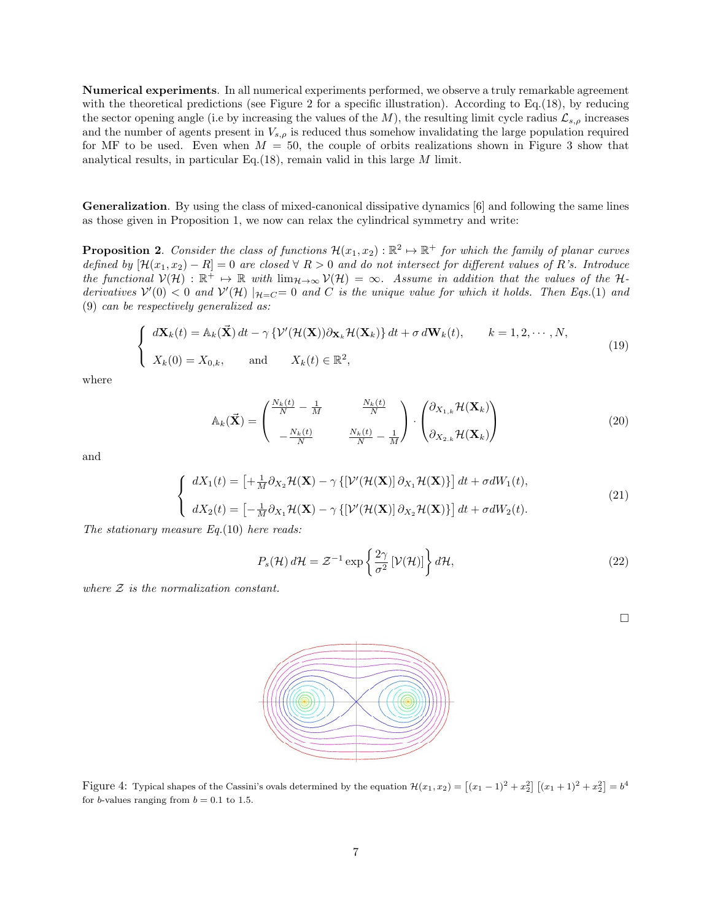Numerical experiments. In all numerical experiments performed, we observe a truly remarkable agreement with the theoretical predictions (see Figure 2 for a specific illustration). According to Eq.(18), by reducing the sector opening angle (i.e by increasing the values of the M), the resulting limit cycle radius  $\mathcal{L}_{s,\rho}$  increases and the number of agents present in  $V_{s,\rho}$  is reduced thus somehow invalidating the large population required for MF to be used. Even when  $M = 50$ , the couple of orbits realizations shown in Figure 3 show that analytical results, in particular Eq.(18), remain valid in this large  $M$  limit.

Generalization. By using the class of mixed-canonical dissipative dynamics [6] and following the same lines as those given in Proposition 1, we now can relax the cylindrical symmetry and write:

**Proposition 2.** Consider the class of functions  $\mathcal{H}(x_1, x_2) : \mathbb{R}^2 \to \mathbb{R}^+$  for which the family of planar curves defined by  $[\mathcal{H}(x_1, x_2) - R] = 0$  are closed  $\forall R > 0$  and do not intersect for different values of R's. Introduce the functional  $V(\mathcal{H}) : \mathbb{R}^+ \mapsto \mathbb{R}$  with  $\lim_{\mathcal{H} \to \infty} V(\mathcal{H}) = \infty$ . Assume in addition that the values of the Hderivatives  $V'(0) < 0$  and  $V'(H) |_{H=C} = 0$  and C is the unique value for which it holds. Then Eqs.(1) and (9) can be respectively generalized as:

$$
\begin{cases}\n d\mathbf{X}_k(t) = \mathbb{A}_k(\vec{\mathbf{X}}) dt - \gamma \left\{ \mathcal{V}'(\mathcal{H}(\mathbf{X})) \partial_{\mathbf{X}_k} \mathcal{H}(\mathbf{X}_k) \right\} dt + \sigma d\mathbf{W}_k(t), \qquad k = 1, 2, \cdots, N, \\
 X_k(0) = X_{0,k}, \qquad \text{and} \qquad X_k(t) \in \mathbb{R}^2,\n\end{cases} \tag{19}
$$

where

$$
\mathbb{A}_{k}(\vec{\mathbf{X}}) = \begin{pmatrix} \frac{N_{k}(t)}{N} - \frac{1}{M} & \frac{N_{k}(t)}{N} \\ -\frac{N_{k}(t)}{N} & \frac{N_{k}(t)}{N} - \frac{1}{M} \end{pmatrix} \cdot \begin{pmatrix} \partial_{X_{1,k}} \mathcal{H}(\mathbf{X}_{k}) \\ \partial_{X_{2,k}} \mathcal{H}(\mathbf{X}_{k}) \end{pmatrix}
$$
(20)

and

$$
\begin{cases}\n dX_1(t) = \left[ + \frac{1}{M} \partial_{X_2} \mathcal{H}(\mathbf{X}) - \gamma \left\{ \left[ \mathcal{V}'(\mathcal{H}(\mathbf{X})) \partial_{X_1} \mathcal{H}(\mathbf{X}) \right\} \right] dt + \sigma dW_1(t), \\
 dX_2(t) = \left[ - \frac{1}{M} \partial_{X_1} \mathcal{H}(\mathbf{X}) - \gamma \left\{ \left[ \mathcal{V}'(\mathcal{H}(\mathbf{X})) \partial_{X_2} \mathcal{H}(\mathbf{X}) \right\} \right] dt + \sigma dW_2(t).\n\end{cases} (21)
$$

The stationary measure  $Eq.(10)$  here reads:

$$
P_s(\mathcal{H}) d\mathcal{H} = \mathcal{Z}^{-1} \exp\left\{\frac{2\gamma}{\sigma^2} [\mathcal{V}(\mathcal{H})] \right\} d\mathcal{H},\tag{22}
$$

where  $Z$  is the normalization constant.



Figure 4: Typical shapes of the Cassini's ovals determined by the equation  $\mathcal{H}(x_1, x_2) = \left[ (x_1 - 1)^2 + x_2^2 \right] \left[ (x_1 + 1)^2 + x_2^2 \right] = b^4$ for *b*-values ranging from  $b = 0.1$  to 1.5.

 $\Box$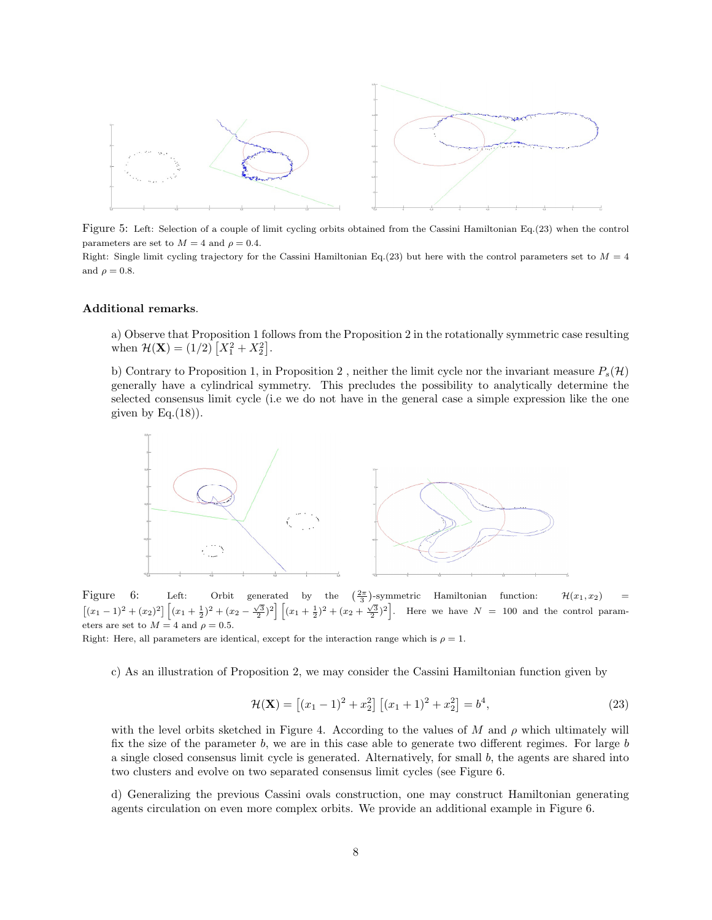

Figure 5: Left: Selection of a couple of limit cycling orbits obtained from the Cassini Hamiltonian Eq.(23) when the control parameters are set to  $M = 4$  and  $\rho = 0.4$ .

Right: Single limit cycling trajectory for the Cassini Hamiltonian Eq.(23) but here with the control parameters set to  $M = 4$ and  $\rho = 0.8$ .

#### Additional remarks.

a) Observe that Proposition 1 follows from the Proposition 2 in the rotationally symmetric case resulting when  $\mathcal{H}(\mathbf{X}) = (1/2) [X_1^2 + X_2^2].$ 

b) Contrary to Proposition 1, in Proposition 2, neither the limit cycle nor the invariant measure  $P_s(\mathcal{H})$ generally have a cylindrical symmetry. This precludes the possibility to analytically determine the selected consensus limit cycle (i.e we do not have in the general case a simple expression like the one given by  $Eq.(18)$ ).



Figure 6: Left: Orbit generated by the  $\frac{2\pi}{3}$ )-symmetric Hamiltonian function:  $\mathcal{H}(x_1, x_2)$  =  $[(x_1-1)^2+(x_2)^2]\left[(x_1+\frac{1}{2})^2+(x_2-\frac{\sqrt{3}}{2})^2\right]\left[(x_1+\frac{1}{2})^2+(x_2+\frac{\sqrt{3}}{2})^2\right]$ . Here we have  $N=100$  and the control parameters are set to  $M = 4$  and  $\rho = 0.5$ .

Right: Here, all parameters are identical, except for the interaction range which is  $\rho = 1$ .

c) As an illustration of Proposition 2, we may consider the Cassini Hamiltonian function given by

$$
\mathcal{H}(\mathbf{X}) = \left[ (x_1 - 1)^2 + x_2^2 \right] \left[ (x_1 + 1)^2 + x_2^2 \right] = b^4,\tag{23}
$$

with the level orbits sketched in Figure 4. According to the values of M and  $\rho$  which ultimately will fix the size of the parameter  $b$ , we are in this case able to generate two different regimes. For large  $b$ a single closed consensus limit cycle is generated. Alternatively, for small  $b$ , the agents are shared into two clusters and evolve on two separated consensus limit cycles (see Figure 6.

d) Generalizing the previous Cassini ovals construction, one may construct Hamiltonian generating agents circulation on even more complex orbits. We provide an additional example in Figure 6.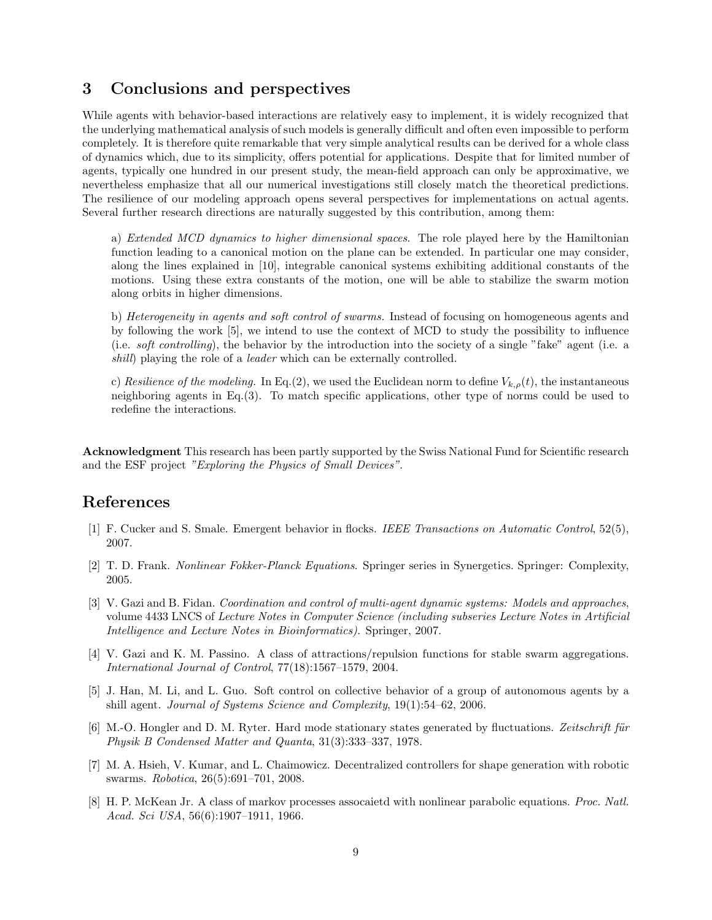## 3 Conclusions and perspectives

While agents with behavior-based interactions are relatively easy to implement, it is widely recognized that the underlying mathematical analysis of such models is generally difficult and often even impossible to perform completely. It is therefore quite remarkable that very simple analytical results can be derived for a whole class of dynamics which, due to its simplicity, offers potential for applications. Despite that for limited number of agents, typically one hundred in our present study, the mean-field approach can only be approximative, we nevertheless emphasize that all our numerical investigations still closely match the theoretical predictions. The resilience of our modeling approach opens several perspectives for implementations on actual agents. Several further research directions are naturally suggested by this contribution, among them:

a) *Extended MCD dynamics to higher dimensional spaces*. The role played here by the Hamiltonian function leading to a canonical motion on the plane can be extended. In particular one may consider, along the lines explained in [10], integrable canonical systems exhibiting additional constants of the motions. Using these extra constants of the motion, one will be able to stabilize the swarm motion along orbits in higher dimensions.

b) Heterogeneity in agents and soft control of swarms. Instead of focusing on homogeneous agents and by following the work [5], we intend to use the context of MCD to study the possibility to influence (i.e. soft controlling), the behavior by the introduction into the society of a single "fake" agent (i.e. a shill) playing the role of a *leader* which can be externally controlled.

c) Resilience of the modeling. In Eq.(2), we used the Euclidean norm to define  $V_{k,\rho}(t)$ , the instantaneous neighboring agents in Eq.(3). To match specific applications, other type of norms could be used to redefine the interactions.

**Acknowledgment** This research has been partly supported by the Swiss National Fund for Scientific research and the ESF project "Exploring the Physics of Small Devices".

## References

- [1] F. Cucker and S. Smale. Emergent behavior in flocks. IEEE Transactions on Automatic Control, 52(5), 2007.
- [2] T. D. Frank. Nonlinear Fokker-Planck Equations. Springer series in Synergetics. Springer: Complexity, 2005.
- [3] V. Gazi and B. Fidan. Coordination and control of multi-agent dynamic systems: Models and approaches, volume 4433 LNCS of Lecture Notes in Computer Science (including subseries Lecture Notes in Artificial Intelligence and Lecture Notes in Bioinformatics). Springer, 2007.
- [4] V. Gazi and K. M. Passino. A class of attractions/repulsion functions for stable swarm aggregations. International Journal of Control, 77(18):1567–1579, 2004.
- [5] J. Han, M. Li, and L. Guo. Soft control on collective behavior of a group of autonomous agents by a shill agent. Journal of Systems Science and Complexity, 19(1):54–62, 2006.
- [6] M.-O. Hongler and D. M. Ryter. Hard mode stationary states generated by fluctuations. Zeitschrift für Physik B Condensed Matter and Quanta, 31(3):333–337, 1978.
- [7] M. A. Hsieh, V. Kumar, and L. Chaimowicz. Decentralized controllers for shape generation with robotic swarms. Robotica, 26(5):691–701, 2008.
- [8] H. P. McKean Jr. A class of markov processes assocaietd with nonlinear parabolic equations. Proc. Natl. Acad. Sci USA, 56(6):1907–1911, 1966.